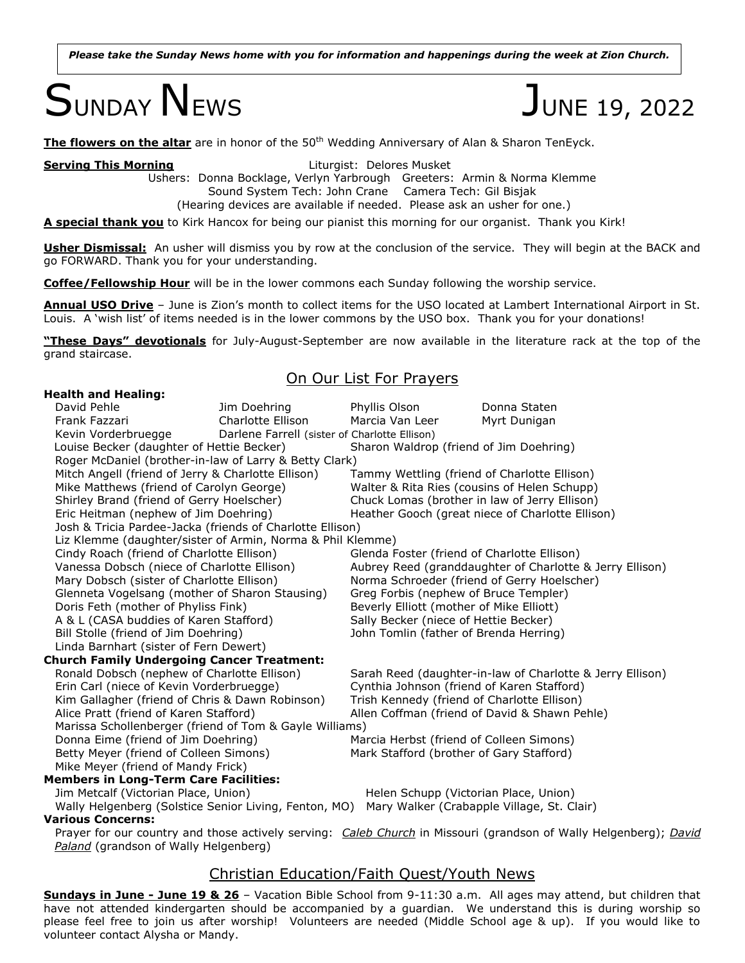*Please take the Sunday News home with you for information and happenings during the week at Zion Church.*

# $S$ unday  $N_{\text{EWS}}$  June 19, 2022

**The flowers on the altar** are in honor of the 50<sup>th</sup> Wedding Anniversary of Alan & Sharon TenEyck.

**Health and Healing:**

**Serving This Morning Example 20 Figure 10 Figure 2016** Liturgist: Delores Musket

Ushers: Donna Bocklage, Verlyn Yarbrough Greeters: Armin & Norma Klemme Sound System Tech: John Crane Camera Tech: Gil Bisjak (Hearing devices are available if needed. Please ask an usher for one.)

**A special thank you** to Kirk Hancox for being our pianist this morning for our organist. Thank you Kirk!

**Usher Dismissal:** An usher will dismiss you by row at the conclusion of the service. They will begin at the BACK and go FORWARD. Thank you for your understanding.

**Coffee/Fellowship Hour** will be in the lower commons each Sunday following the worship service.

**Annual USO Drive** – June is Zion's month to collect items for the USO located at Lambert International Airport in St. Louis. A 'wish list' of items needed is in the lower commons by the USO box. Thank you for your donations!

**"These Days" devotionals** for July-August-September are now available in the literature rack at the top of the grand staircase.

# On Our List For Prayers

|                                          | יוכפונוו פווט ווכפווווק.                                                                         |                                               |                                               |                                                                                                                                 |  |  |
|------------------------------------------|--------------------------------------------------------------------------------------------------|-----------------------------------------------|-----------------------------------------------|---------------------------------------------------------------------------------------------------------------------------------|--|--|
|                                          | David Pehle                                                                                      | Jim Doehring                                  | Phyllis Olson                                 | Donna Staten                                                                                                                    |  |  |
|                                          | Frank Fazzari                                                                                    | Charlotte Ellison                             | Marcia Van Leer                               | Myrt Dunigan                                                                                                                    |  |  |
|                                          | Kevin Vorderbruegge                                                                              | Darlene Farrell (sister of Charlotte Ellison) |                                               |                                                                                                                                 |  |  |
|                                          | Louise Becker (daughter of Hettie Becker)                                                        |                                               | Sharon Waldrop (friend of Jim Doehring)       |                                                                                                                                 |  |  |
|                                          | Roger McDaniel (brother-in-law of Larry & Betty Clark)                                           |                                               |                                               |                                                                                                                                 |  |  |
|                                          | Mitch Angell (friend of Jerry & Charlotte Ellison)                                               |                                               | Tammy Wettling (friend of Charlotte Ellison)  |                                                                                                                                 |  |  |
| Mike Matthews (friend of Carolyn George) |                                                                                                  |                                               | Walter & Rita Ries (cousins of Helen Schupp)  |                                                                                                                                 |  |  |
|                                          | Shirley Brand (friend of Gerry Hoelscher)                                                        |                                               | Chuck Lomas (brother in law of Jerry Ellison) |                                                                                                                                 |  |  |
|                                          | Eric Heitman (nephew of Jim Doehring)                                                            |                                               |                                               | Heather Gooch (great niece of Charlotte Ellison)                                                                                |  |  |
|                                          | Josh & Tricia Pardee-Jacka (friends of Charlotte Ellison)                                        |                                               |                                               |                                                                                                                                 |  |  |
|                                          | Liz Klemme (daughter/sister of Armin, Norma & Phil Klemme)                                       |                                               |                                               |                                                                                                                                 |  |  |
|                                          | Cindy Roach (friend of Charlotte Ellison)                                                        |                                               | Glenda Foster (friend of Charlotte Ellison)   |                                                                                                                                 |  |  |
|                                          | Vanessa Dobsch (niece of Charlotte Ellison)                                                      |                                               |                                               | Aubrey Reed (granddaughter of Charlotte & Jerry Ellison)                                                                        |  |  |
|                                          | Mary Dobsch (sister of Charlotte Ellison)                                                        |                                               | Norma Schroeder (friend of Gerry Hoelscher)   |                                                                                                                                 |  |  |
|                                          | Glenneta Vogelsang (mother of Sharon Stausing)                                                   |                                               | Greg Forbis (nephew of Bruce Templer)         |                                                                                                                                 |  |  |
| Doris Feth (mother of Phyliss Fink)      |                                                                                                  |                                               | Beverly Elliott (mother of Mike Elliott)      |                                                                                                                                 |  |  |
|                                          | A & L (CASA buddies of Karen Stafford)                                                           |                                               | Sally Becker (niece of Hettie Becker)         |                                                                                                                                 |  |  |
|                                          | Bill Stolle (friend of Jim Doehring)                                                             |                                               | John Tomlin (father of Brenda Herring)        |                                                                                                                                 |  |  |
|                                          | Linda Barnhart (sister of Fern Dewert)                                                           |                                               |                                               |                                                                                                                                 |  |  |
|                                          | <b>Church Family Undergoing Cancer Treatment:</b>                                                |                                               |                                               |                                                                                                                                 |  |  |
|                                          | Ronald Dobsch (nephew of Charlotte Ellison)                                                      |                                               |                                               | Sarah Reed (daughter-in-law of Charlotte & Jerry Ellison)                                                                       |  |  |
|                                          | Erin Carl (niece of Kevin Vorderbruegge)                                                         |                                               | Cynthia Johnson (friend of Karen Stafford)    |                                                                                                                                 |  |  |
|                                          | Kim Gallagher (friend of Chris & Dawn Robinson)                                                  |                                               | Trish Kennedy (friend of Charlotte Ellison)   |                                                                                                                                 |  |  |
|                                          | Alice Pratt (friend of Karen Stafford)                                                           |                                               |                                               | Allen Coffman (friend of David & Shawn Pehle)                                                                                   |  |  |
|                                          | Marissa Schollenberger (friend of Tom & Gayle Williams)                                          |                                               |                                               |                                                                                                                                 |  |  |
|                                          | Donna Eime (friend of Jim Doehring)                                                              |                                               | Marcia Herbst (friend of Colleen Simons)      |                                                                                                                                 |  |  |
|                                          | Betty Meyer (friend of Colleen Simons)                                                           |                                               | Mark Stafford (brother of Gary Stafford)      |                                                                                                                                 |  |  |
|                                          | Mike Meyer (friend of Mandy Frick)                                                               |                                               |                                               |                                                                                                                                 |  |  |
|                                          | <b>Members in Long-Term Care Facilities:</b>                                                     |                                               |                                               |                                                                                                                                 |  |  |
|                                          | Jim Metcalf (Victorian Place, Union)                                                             |                                               | Helen Schupp (Victorian Place, Union)         |                                                                                                                                 |  |  |
|                                          | Wally Helgenberg (Solstice Senior Living, Fenton, MO) Mary Walker (Crabapple Village, St. Clair) |                                               |                                               |                                                                                                                                 |  |  |
|                                          | <b>Various Concerns:</b>                                                                         |                                               |                                               |                                                                                                                                 |  |  |
|                                          |                                                                                                  |                                               |                                               | Prayer for our country and those actively serving: <i>Caleb Church</i> in Missouri (grandson of Wally Helgenberg); <i>David</i> |  |  |

*Paland* (grandson of Wally Helgenberg)

# Christian Education/Faith Quest/Youth News

**Sundays in June - June 19 & 26** – Vacation Bible School from 9-11:30 a.m. All ages may attend, but children that have not attended kindergarten should be accompanied by a guardian. We understand this is during worship so please feel free to join us after worship! Volunteers are needed (Middle School age & up). If you would like to volunteer contact Alysha or Mandy.